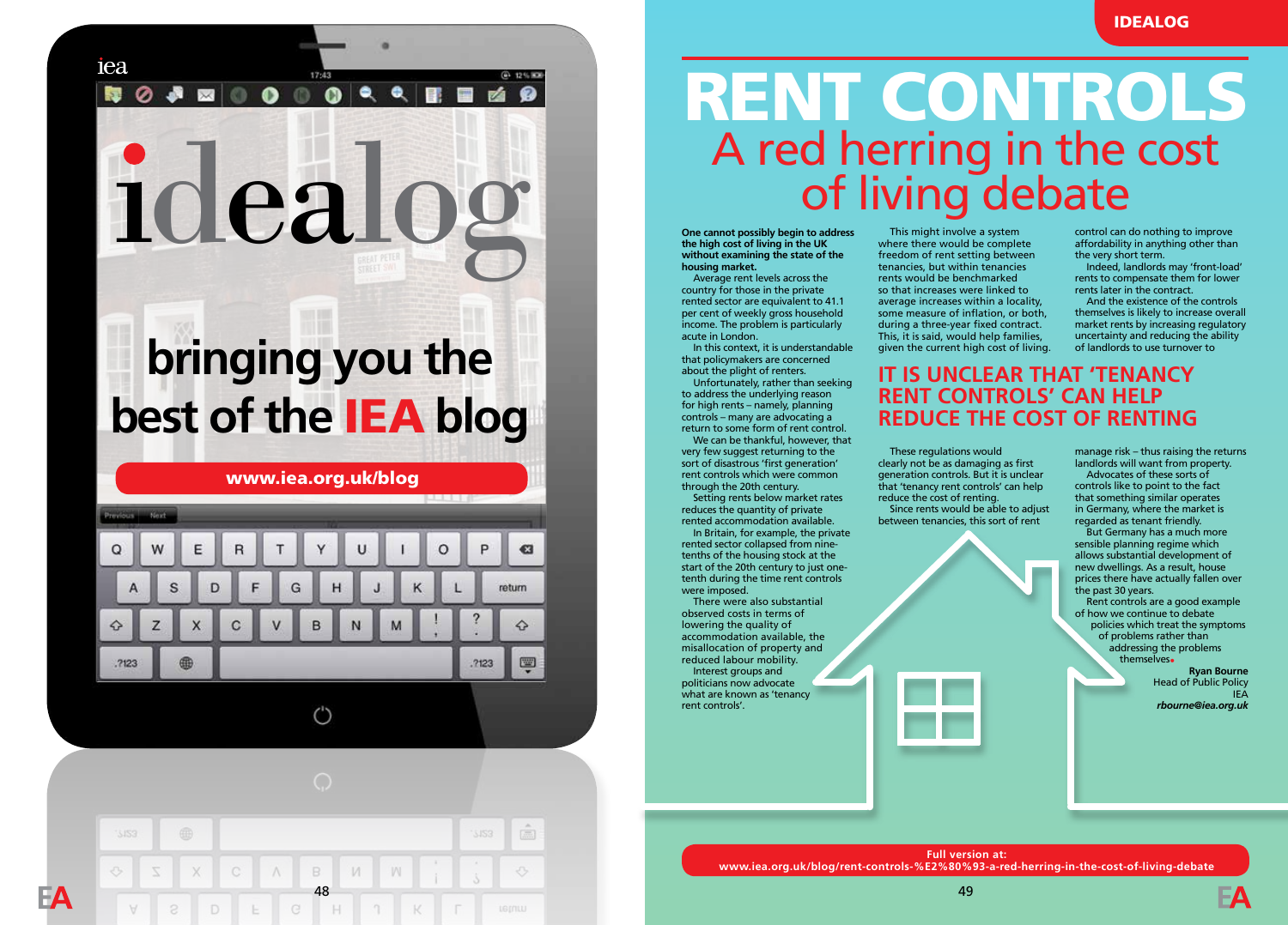# idealog

17:43 

iea

履

### **bringing you the best of the** IEA **blog**

www.iea.org.uk/blog



 $^{\prime}$ 



## RENT CONTROLS A red herring in the cost<br>of living debate

**One cannot possibly begin to address the high cost of living in the UK without examining the state of the housing market.**

Average rent levels across the country for those in the private rented sector are equivalent to 41.1 per cent of weekly gross household income. The problem is particularly acute in London.

In this context, it is understandable that policymakers are concerned about the plight of renters.

Unfortunately, rather than seeking to address the underlying reason for high rents – namely, planning controls – many are advocating a return to some form of rent control.

We can be thankful, however, that very few suggest returning to the sort of disastrous 'first generation' rent controls which were common through the 20th century.

Setting rents below market rates reduces the quantity of private rented accommodation available.

In Britain, for example, the private rented sector collapsed from ninetenths of the housing stock at the start of the 20th century to just onetenth during the time rent controls were imposed.

There were also substantial observed costs in terms of lowering the quality of accommodation available, the misallocation of property and reduced labour mobility. Interest groups and politicians now advocate what are known as 'tenancy rent controls'.

This might involve a system where there would be complete freedom of rent setting between tenancies, but within tenancies rents would be benchmarked so that increases were linked to average increases within a locality, some measure of inflation, or both, during a three-year fixed contract. This, it is said, would help families, given the current high cost of living. control can do nothing to improve affordability in anything other than the very short term.

Indeed, landlords may 'front-load' rents to compensate them for lower rents later in the contract.

And the existence of the controls themselves is likely to increase overall market rents by increasing regulatory uncertainty and reducing the ability of landlords to use turnover to

These regulations would clearly not be as damaging as first manage risk – thus raising the returns **RENT CONTROLS' CAN HELP REDUCE THE COST OF RENTING**

**IT IS UNCLEAR THAT 'TENANCY** 

between tenancies, this sort of rent

generation controls. But it is unclear that 'tenancy rent controls' can help reduce the cost of renting. Since rents would be able to adjust

landlords will want from property. Advocates of these sorts of controls like to point to the fact that something similar operates in Germany, where the market is

regarded as tenant friendly. But Germany has a much more sensible planning regime which allows substantial development of new dwellings. As a result, house prices there have actually fallen over

the past 30 years. Rent controls are a good example of how we continue to debate policies which treat the symptoms of problems rather than addressing the problems themselves•

**Ryan Bourne**  Head of Public Policy IEA *rbourne@iea.org.uk* 

**Full version at: www.iea.org.uk/blog/rent-controls-%E2%80%93-a-red-herring-in-the-cost-of-living-debate**